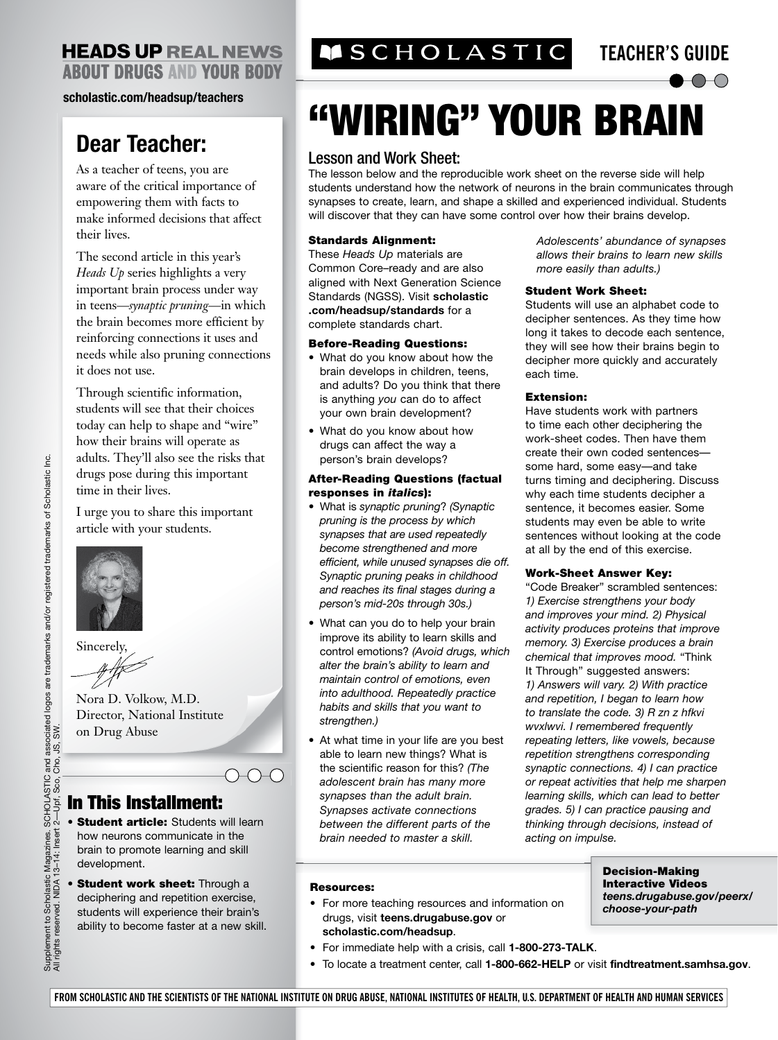### **HEADS UP REAL NEWS ABOUT DRUGS AND YOUR BODY**

#### **[scholastic.com/headsup/teachers](http://scholastic.com/headsup/teachers)**

## **Dear Teacher:**

As a teacher of teens, you are aware of the critical importance of empowering them with facts to make informed decisions that affect their lives.

The second article in this year's *Heads Up* series highlights a very important brain process under way in teens—*synaptic pruning*—in which the brain becomes more efficient by reinforcing connections it uses and needs while also pruning connections it does not use.

Through scientific information, students will see that their choices today can help to shape and "wire" how their brains will operate as adults. They'll also see the risks that drugs pose during this important time in their lives.

I urge you to share this important article with your students.



Sincerely,

Nora D. Volkow, M.D. Director, National Institute on Drug Abuse

#### In This Installment:

• Student article: Students will learn how neurons communicate in the brain to promote learning and skill development.

 $\bigcirc\hspace{-0.75mm} \bigcirc \hspace{-0.75mm} \bigcirc \hspace{-0.75mm} \bigcirc$ 

• Student work sheet: Through a deciphering and repetition exercise, students will experience their brain's ability to become faster at a new skill.

## **TEACHER'S GUIDE AS TIC TEACHER'S GUIDE**

 $\bullet$ OO

# "WIRING" YOUR BRAIN

#### Lesson and Work Sheet:

The lesson below and the reproducible work sheet on the reverse side will help students understand how the network of neurons in the brain communicates through synapses to create, learn, and shape a skilled and experienced individual. Students will discover that they can have some control over how their brains develop.

#### Standards Alignment:

These *Heads Up* materials are Common Core–ready and are also aligned with Next Generation Science Standards (NGSS). Visit **scholastic .com/headsup/standards** for a complete standards chart.

#### Before-Reading Questions:

- What do you know about how the brain develops in children, teens, and adults? Do you think that there is anything *you* can do to affect your own brain development?
- What do you know about how drugs can affect the way a person's brain develops?

#### After-Reading Questions (factual responses in *italics*):

- What is *synaptic pruning*? *(Synaptic pruning is the process by which synapses that are used repeatedly become strengthened and more efficient, while unused synapses die off. Synaptic pruning peaks in childhood and reaches its final stages during a person's mid-20s through 30s.)*
- What can you do to help your brain improve its ability to learn skills and control emotions? *(Avoid drugs, which alter the brain's ability to learn and maintain control of emotions, even into adulthood. Repeatedly practice habits and skills that you want to strengthen.)*
- At what time in your life are you best able to learn new things? What is the scientific reason for this? *(The adolescent brain has many more synapses than the adult brain. Synapses activate connections between the different parts of the brain needed to master a skill.*

*Adolescents' abundance of synapses allows their brains to learn new skills more easily than adults.)* 

#### Student Work Sheet:

Students will use an alphabet code to decipher sentences. As they time how long it takes to decode each sentence, they will see how their brains begin to decipher more quickly and accurately each time.

#### Extension:

Have students work with partners to time each other deciphering the work-sheet codes. Then have them create their own coded sentences some hard, some easy—and take turns timing and deciphering. Discuss why each time students decipher a sentence, it becomes easier. Some students may even be able to write sentences without looking at the code at all by the end of this exercise.

#### Work-Sheet Answer Key:

"Code Breaker" scrambled sentences: *1) Exercise strengthens your body and improves your mind. 2) Physical activity produces proteins that improve memory. 3) Exercise produces a brain chemical that improves mood.* "Think It Through" suggested answers: *1) Answers will vary. 2) With practice and repetition, I began to learn how to translate the code. 3) R zn z hfkvi wvxlwvi. I remembered frequently repeating letters, like vowels, because repetition strengthens corresponding synaptic connections. 4) I can practice or repeat activities that help me sharpen learning skills, which can lead to better grades. 5) I can practice pausing and thinking through decisions, instead of acting on impulse.* 

#### Resources:

• For more teaching resources and information on drugs, visit **teens.drugabuse.gov** or **[scholastic.com/headsup](http://scholastic.com/headsup)**.

Decision-Making Interactive Videos *[teens.drugabuse.gov/peerx/](http://teens.drugabuse.gov/peerx/choose-your-path) choose-your-path*

- For immediate help with a crisis, call **1-800-273-TALK**.
	- To locate a treatment center, call **1-800-662-HELP** or visit **findtreatment.samhsa.gov**.